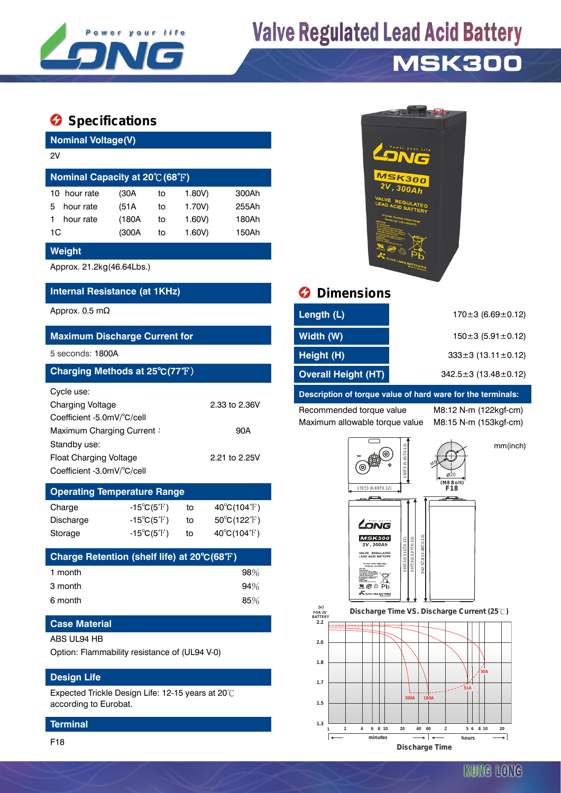

# **Valve Regulated Lead Acid Battery**

### **MSK300**

### **Specifications**

| <b>Nominal Voltage(V)</b>                      |       |    |           |       |  |  |  |
|------------------------------------------------|-------|----|-----------|-------|--|--|--|
| 2V                                             |       |    |           |       |  |  |  |
| Nominal Capacity at $20^{\circ}C(68^{\circ}F)$ |       |    |           |       |  |  |  |
| hour rate<br>10                                | (30A  | to | $1.80V$ ) | 300Ah |  |  |  |
| hour rate<br>5                                 | (51A  | to | 1.70V)    | 255Ah |  |  |  |
| hour rate                                      | (180A | to | 1.60V     | 180Ah |  |  |  |
| 1C                                             | (300A | to | 1.60V     | 150Ah |  |  |  |

#### **Weight**

Approx. 21.2kg(46.64Lbs.)

### **Internal Resistance (at 1KHz) Dimensions**

| <b>Maximum Discharge Current for</b>                                                                                                                                     |                                       |    |                                  |  |  |  |  |
|--------------------------------------------------------------------------------------------------------------------------------------------------------------------------|---------------------------------------|----|----------------------------------|--|--|--|--|
| 5 seconds: 1800A                                                                                                                                                         |                                       |    |                                  |  |  |  |  |
| Charging Methods at 25°C(77°F)                                                                                                                                           |                                       |    |                                  |  |  |  |  |
| Cycle use:<br>Charging Voltage<br>Coefficient -5.0mV/°C/cell<br>Maximum Charging Current:<br>Standby use:<br><b>Float Charging Voltage</b><br>Coefficient -3.0mV/°C/cell | 2.33 to 2.36V<br>90A<br>2.21 to 2.25V |    |                                  |  |  |  |  |
| <b>Operating Temperature Range</b>                                                                                                                                       |                                       |    |                                  |  |  |  |  |
| Charge                                                                                                                                                                   | $-15^{\circ}C(5^{\circ}F)$            | to | $40^{\circ}$ C(104 $^{\circ}$ F) |  |  |  |  |
| Discharge                                                                                                                                                                | $-15^{\circ}C(5^{\circ}F)$            | to | $50^{\circ}$ C(122 $^{\circ}$ F) |  |  |  |  |
| Storage                                                                                                                                                                  | $-15^{\circ}C(5^{\circ}F)$            | to | $40^{\circ}$ C(104 $^{\circ}$ F) |  |  |  |  |
|                                                                                                                                                                          |                                       |    |                                  |  |  |  |  |

| Charge Retention (shelf life) at 20°C(68°F) |        |
|---------------------------------------------|--------|
| 1 month                                     | $98\%$ |
| 3 month                                     | 94%    |
| 6 month                                     | 85%    |

#### **Case Material**

#### ABS UL94 HB

Option: Flammability resistance of (UL94 V-0)

#### **Design Life**

Expected Trickle Design Life: 12-15 years at 20℃ according to Eurobat.

#### **Terminal**



| Approx. 0.5 mΩ                                                     | Length (L)                                                  | $170\pm3(6.69\pm0.12)$        |  |
|--------------------------------------------------------------------|-------------------------------------------------------------|-------------------------------|--|
| <b>Maximum Discharge Current for</b>                               | Width (W)                                                   | $150\pm3(5.91\pm0.12)$        |  |
| 5 seconds: 1800A                                                   | Height (H)                                                  | $333\pm3(13.11\pm0.12)$       |  |
| Charging Methods at 25 $^{\circ}$ C(77 $^{\circ}\!$ F) $^{\prime}$ | <b>Overall Height (HT)</b>                                  | $342.5 \pm 3(13.48 \pm 0.12)$ |  |
| Cycle use:                                                         | Description of torque value of hard ware for the terminals: |                               |  |

Recommended torque value M8:12 N-m (122kgf-cm) Maximum allowable torque value M8:15 N-m (153kgf-cm)

mm(inch)



 **FOR 2V BATTERY** Discharge Time VS. Discharge Current (25℃)